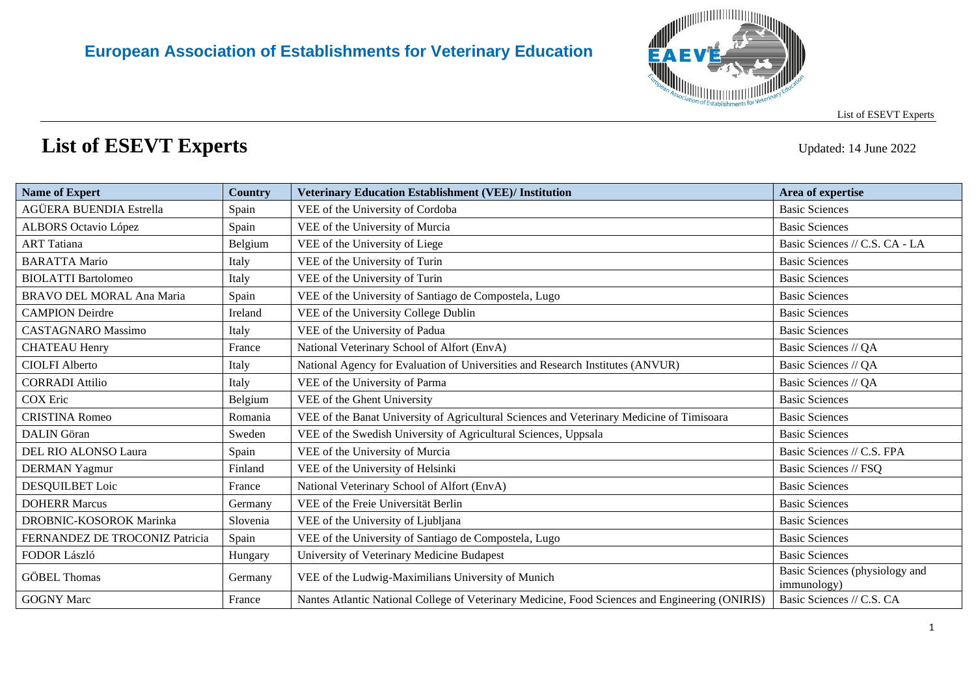

## **List of ESEVT Experts** Updated: 14 June <sup>2022</sup>

| <b>Name of Expert</b>          | Country  | <b>Veterinary Education Establishment (VEE)/ Institution</b>                                    | Area of expertise                             |
|--------------------------------|----------|-------------------------------------------------------------------------------------------------|-----------------------------------------------|
| AGÜERA BUENDIA Estrella        | Spain    | VEE of the University of Cordoba                                                                | <b>Basic Sciences</b>                         |
| <b>ALBORS</b> Octavio López    | Spain    | VEE of the University of Murcia                                                                 | <b>Basic Sciences</b>                         |
| <b>ART</b> Tatiana             | Belgium  | VEE of the University of Liege                                                                  | Basic Sciences // C.S. CA - LA                |
| <b>BARATTA Mario</b>           | Italy    | VEE of the University of Turin                                                                  | <b>Basic Sciences</b>                         |
| <b>BIOLATTI Bartolomeo</b>     | Italy    | VEE of the University of Turin                                                                  | <b>Basic Sciences</b>                         |
| BRAVO DEL MORAL Ana Maria      | Spain    | VEE of the University of Santiago de Compostela, Lugo                                           | <b>Basic Sciences</b>                         |
| <b>CAMPION</b> Deirdre         | Ireland  | VEE of the University College Dublin                                                            | <b>Basic Sciences</b>                         |
| <b>CASTAGNARO</b> Massimo      | Italy    | VEE of the University of Padua                                                                  | <b>Basic Sciences</b>                         |
| <b>CHATEAU Henry</b>           | France   | National Veterinary School of Alfort (EnvA)                                                     | Basic Sciences // QA                          |
| <b>CIOLFI Alberto</b>          | Italy    | National Agency for Evaluation of Universities and Research Institutes (ANVUR)                  | Basic Sciences // QA                          |
| <b>CORRADI</b> Attilio         | Italy    | VEE of the University of Parma                                                                  | Basic Sciences // QA                          |
| <b>COX</b> Eric                | Belgium  | VEE of the Ghent University                                                                     | <b>Basic Sciences</b>                         |
| <b>CRISTINA Romeo</b>          | Romania  | VEE of the Banat University of Agricultural Sciences and Veterinary Medicine of Timisoara       | <b>Basic Sciences</b>                         |
| <b>DALIN</b> Göran             | Sweden   | VEE of the Swedish University of Agricultural Sciences, Uppsala                                 | <b>Basic Sciences</b>                         |
| DEL RIO ALONSO Laura           | Spain    | VEE of the University of Murcia                                                                 | Basic Sciences // C.S. FPA                    |
| <b>DERMAN Yagmur</b>           | Finland  | VEE of the University of Helsinki                                                               | Basic Sciences // FSQ                         |
| DESQUILBET Loic                | France   | National Veterinary School of Alfort (EnvA)                                                     | <b>Basic Sciences</b>                         |
| <b>DOHERR Marcus</b>           | Germany  | VEE of the Freie Universität Berlin                                                             | <b>Basic Sciences</b>                         |
| DROBNIC-KOSOROK Marinka        | Slovenia | VEE of the University of Ljubljana                                                              | <b>Basic Sciences</b>                         |
| FERNANDEZ DE TROCONIZ Patricia | Spain    | VEE of the University of Santiago de Compostela, Lugo                                           | <b>Basic Sciences</b>                         |
| FODOR László                   | Hungary  | University of Veterinary Medicine Budapest                                                      | <b>Basic Sciences</b>                         |
| <b>GÖBEL Thomas</b>            | Germany  | VEE of the Ludwig-Maximilians University of Munich                                              | Basic Sciences (physiology and<br>immunology) |
| <b>GOGNY Marc</b>              | France   | Nantes Atlantic National College of Veterinary Medicine, Food Sciences and Engineering (ONIRIS) | Basic Sciences // C.S. CA                     |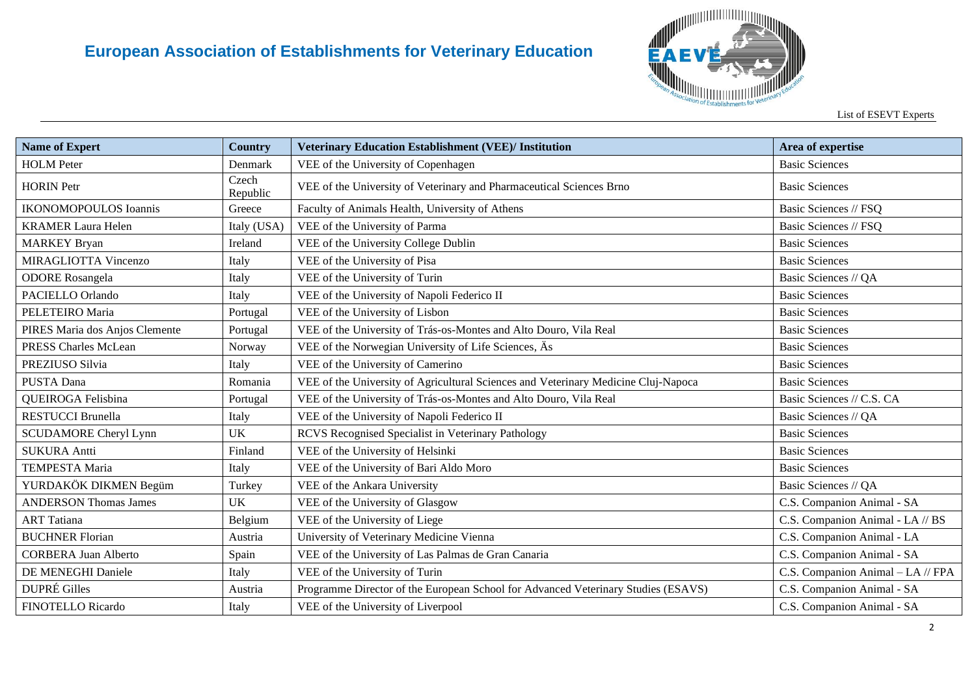

| <b>Name of Expert</b>          | <b>Country</b>    | <b>Veterinary Education Establishment (VEE)/ Institution</b>                       | Area of expertise                 |
|--------------------------------|-------------------|------------------------------------------------------------------------------------|-----------------------------------|
| <b>HOLM</b> Peter              | Denmark           | VEE of the University of Copenhagen                                                | <b>Basic Sciences</b>             |
| <b>HORIN</b> Petr              | Czech<br>Republic | VEE of the University of Veterinary and Pharmaceutical Sciences Brno               | <b>Basic Sciences</b>             |
| <b>IKONOMOPOULOS</b> Ioannis   | Greece            | Faculty of Animals Health, University of Athens                                    | Basic Sciences // FSQ             |
| <b>KRAMER Laura Helen</b>      | Italy (USA)       | VEE of the University of Parma                                                     | Basic Sciences // FSQ             |
| <b>MARKEY Bryan</b>            | Ireland           | VEE of the University College Dublin                                               | <b>Basic Sciences</b>             |
| MIRAGLIOTTA Vincenzo           | Italy             | VEE of the University of Pisa                                                      | <b>Basic Sciences</b>             |
| <b>ODORE</b> Rosangela         | Italy             | VEE of the University of Turin                                                     | Basic Sciences // QA              |
| PACIELLO Orlando               | Italy             | VEE of the University of Napoli Federico II                                        | <b>Basic Sciences</b>             |
| PELETEIRO Maria                | Portugal          | VEE of the University of Lisbon                                                    | <b>Basic Sciences</b>             |
| PIRES Maria dos Anjos Clemente | Portugal          | VEE of the University of Trás-os-Montes and Alto Douro, Vila Real                  | <b>Basic Sciences</b>             |
| <b>PRESS Charles McLean</b>    | Norway            | VEE of the Norwegian University of Life Sciences, As                               | <b>Basic Sciences</b>             |
| PREZIUSO Silvia                | Italy             | VEE of the University of Camerino                                                  | <b>Basic Sciences</b>             |
| PUSTA Dana                     | Romania           | VEE of the University of Agricultural Sciences and Veterinary Medicine Cluj-Napoca | <b>Basic Sciences</b>             |
| QUEIROGA Felisbina             | Portugal          | VEE of the University of Trás-os-Montes and Alto Douro, Vila Real                  | Basic Sciences // C.S. CA         |
| <b>RESTUCCI Brunella</b>       | Italy             | VEE of the University of Napoli Federico II                                        | Basic Sciences // QA              |
| <b>SCUDAMORE Cheryl Lynn</b>   | <b>UK</b>         | RCVS Recognised Specialist in Veterinary Pathology                                 | <b>Basic Sciences</b>             |
| <b>SUKURA Antti</b>            | Finland           | VEE of the University of Helsinki                                                  | <b>Basic Sciences</b>             |
| TEMPESTA Maria                 | Italy             | VEE of the University of Bari Aldo Moro                                            | <b>Basic Sciences</b>             |
| YURDAKÖK DIKMEN Begüm          | Turkey            | VEE of the Ankara University                                                       | Basic Sciences // QA              |
| <b>ANDERSON Thomas James</b>   | <b>UK</b>         | VEE of the University of Glasgow                                                   | C.S. Companion Animal - SA        |
| <b>ART</b> Tatiana             | Belgium           | VEE of the University of Liege                                                     | C.S. Companion Animal - LA // BS  |
| <b>BUCHNER Florian</b>         | Austria           | University of Veterinary Medicine Vienna                                           | C.S. Companion Animal - LA        |
| <b>CORBERA Juan Alberto</b>    | Spain             | VEE of the University of Las Palmas de Gran Canaria                                | C.S. Companion Animal - SA        |
| DE MENEGHI Daniele             | Italy             | VEE of the University of Turin                                                     | C.S. Companion Animal - LA // FPA |
| <b>DUPRÉ Gilles</b>            | Austria           | Programme Director of the European School for Advanced Veterinary Studies (ESAVS)  | C.S. Companion Animal - SA        |
| FINOTELLO Ricardo              | Italy             | VEE of the University of Liverpool                                                 | C.S. Companion Animal - SA        |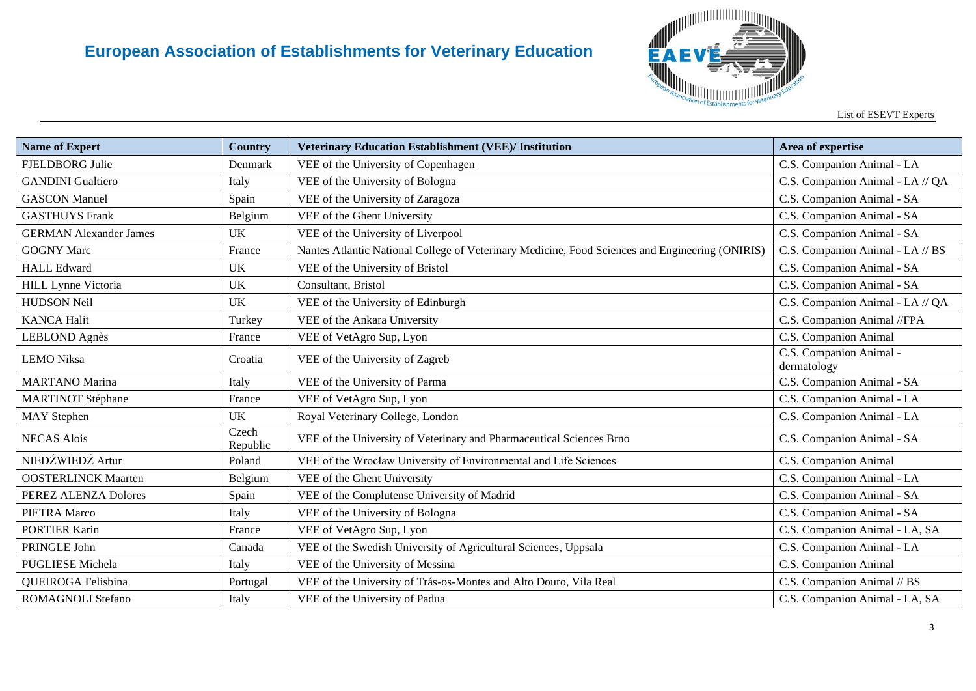

List of ESEVT Experts

| <b>Name of Expert</b>         | <b>Country</b>    | <b>Veterinary Education Establishment (VEE)/ Institution</b>                                    | Area of expertise                      |
|-------------------------------|-------------------|-------------------------------------------------------------------------------------------------|----------------------------------------|
| FJELDBORG Julie               | Denmark           | VEE of the University of Copenhagen                                                             | C.S. Companion Animal - LA             |
| <b>GANDINI</b> Gualtiero      | Italy             | VEE of the University of Bologna                                                                | C.S. Companion Animal - LA // QA       |
| <b>GASCON Manuel</b>          | Spain             | VEE of the University of Zaragoza                                                               | C.S. Companion Animal - SA             |
| <b>GASTHUYS Frank</b>         | Belgium           | VEE of the Ghent University                                                                     | C.S. Companion Animal - SA             |
| <b>GERMAN Alexander James</b> | <b>UK</b>         | VEE of the University of Liverpool                                                              | C.S. Companion Animal - SA             |
| <b>GOGNY Marc</b>             | France            | Nantes Atlantic National College of Veterinary Medicine, Food Sciences and Engineering (ONIRIS) | C.S. Companion Animal - LA // BS       |
| <b>HALL Edward</b>            | UK                | VEE of the University of Bristol                                                                | C.S. Companion Animal - SA             |
| HILL Lynne Victoria           | UK                | Consultant, Bristol                                                                             | C.S. Companion Animal - SA             |
| <b>HUDSON Neil</b>            | <b>UK</b>         | VEE of the University of Edinburgh                                                              | C.S. Companion Animal - LA // QA       |
| <b>KANCA Halit</b>            | Turkey            | VEE of the Ankara University                                                                    | C.S. Companion Animal //FPA            |
| <b>LEBLOND</b> Agnès          | France            | VEE of VetAgro Sup, Lyon                                                                        | C.S. Companion Animal                  |
| <b>LEMO</b> Niksa             | Croatia           | VEE of the University of Zagreb                                                                 | C.S. Companion Animal -<br>dermatology |
| <b>MARTANO</b> Marina         | Italy             | VEE of the University of Parma                                                                  | C.S. Companion Animal - SA             |
| <b>MARTINOT Stéphane</b>      | France            | VEE of VetAgro Sup, Lyon                                                                        | C.S. Companion Animal - LA             |
| <b>MAY</b> Stephen            | <b>UK</b>         | Royal Veterinary College, London                                                                | C.S. Companion Animal - LA             |
| <b>NECAS Alois</b>            | Czech<br>Republic | VEE of the University of Veterinary and Pharmaceutical Sciences Brno                            | C.S. Companion Animal - SA             |
| NIEDŹWIEDŹ Artur              | Poland            | VEE of the Wrocław University of Environmental and Life Sciences                                | C.S. Companion Animal                  |
| <b>OOSTERLINCK Maarten</b>    | Belgium           | VEE of the Ghent University                                                                     | C.S. Companion Animal - LA             |
| PEREZ ALENZA Dolores          | Spain             | VEE of the Complutense University of Madrid                                                     | C.S. Companion Animal - SA             |
| PIETRA Marco                  | Italy             | VEE of the University of Bologna                                                                | C.S. Companion Animal - SA             |
| <b>PORTIER Karin</b>          | France            | VEE of VetAgro Sup, Lyon                                                                        | C.S. Companion Animal - LA, SA         |
| PRINGLE John                  | Canada            | VEE of the Swedish University of Agricultural Sciences, Uppsala                                 | C.S. Companion Animal - LA             |
| <b>PUGLIESE Michela</b>       | Italy             | VEE of the University of Messina                                                                | C.S. Companion Animal                  |
| QUEIROGA Felisbina            | Portugal          | VEE of the University of Trás-os-Montes and Alto Douro, Vila Real                               | C.S. Companion Animal // BS            |
| <b>ROMAGNOLI Stefano</b>      | Italy             | VEE of the University of Padua                                                                  | C.S. Companion Animal - LA, SA         |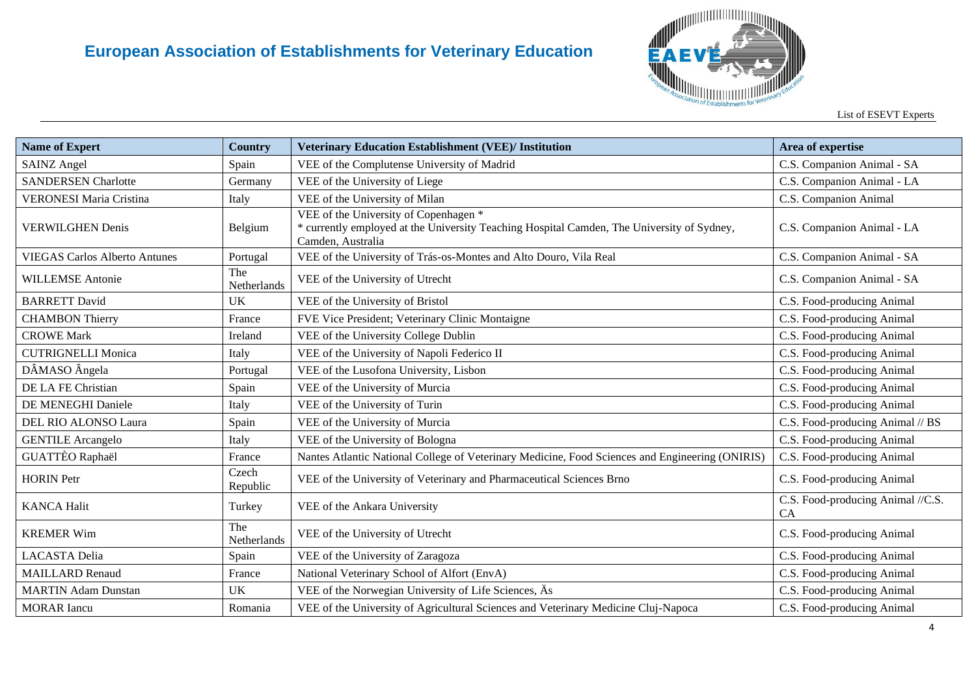

| <b>Name of Expert</b>                | <b>Country</b>     | <b>Veterinary Education Establishment (VEE)/ Institution</b>                                                                                             | Area of expertise                              |
|--------------------------------------|--------------------|----------------------------------------------------------------------------------------------------------------------------------------------------------|------------------------------------------------|
| <b>SAINZ Angel</b>                   | Spain              | VEE of the Complutense University of Madrid                                                                                                              | C.S. Companion Animal - SA                     |
| <b>SANDERSEN Charlotte</b>           | Germany            | VEE of the University of Liege                                                                                                                           | C.S. Companion Animal - LA                     |
| <b>VERONESI Maria Cristina</b>       | Italy              | VEE of the University of Milan                                                                                                                           | C.S. Companion Animal                          |
| <b>VERWILGHEN Denis</b>              | Belgium            | VEE of the University of Copenhagen *<br>* currently employed at the University Teaching Hospital Camden, The University of Sydney,<br>Camden, Australia | C.S. Companion Animal - LA                     |
| <b>VIEGAS Carlos Alberto Antunes</b> | Portugal           | VEE of the University of Trás-os-Montes and Alto Douro, Vila Real                                                                                        | C.S. Companion Animal - SA                     |
| <b>WILLEMSE Antonie</b>              | The<br>Netherlands | VEE of the University of Utrecht                                                                                                                         | C.S. Companion Animal - SA                     |
| <b>BARRETT David</b>                 | UK                 | VEE of the University of Bristol                                                                                                                         | C.S. Food-producing Animal                     |
| <b>CHAMBON Thierry</b>               | France             | FVE Vice President; Veterinary Clinic Montaigne                                                                                                          | C.S. Food-producing Animal                     |
| <b>CROWE Mark</b>                    | Ireland            | VEE of the University College Dublin                                                                                                                     | C.S. Food-producing Animal                     |
| <b>CUTRIGNELLI Monica</b>            | Italy              | VEE of the University of Napoli Federico II                                                                                                              | C.S. Food-producing Animal                     |
| DÂMASO Ângela                        | Portugal           | VEE of the Lusofona University, Lisbon                                                                                                                   | C.S. Food-producing Animal                     |
| DE LA FE Christian                   | Spain              | VEE of the University of Murcia                                                                                                                          | C.S. Food-producing Animal                     |
| DE MENEGHI Daniele                   | Italy              | VEE of the University of Turin                                                                                                                           | C.S. Food-producing Animal                     |
| DEL RIO ALONSO Laura                 | Spain              | VEE of the University of Murcia                                                                                                                          | C.S. Food-producing Animal // BS               |
| <b>GENTILE Arcangelo</b>             | Italy              | VEE of the University of Bologna                                                                                                                         | C.S. Food-producing Animal                     |
| <b>GUATTÈO Raphaël</b>               | France             | Nantes Atlantic National College of Veterinary Medicine, Food Sciences and Engineering (ONIRIS)                                                          | C.S. Food-producing Animal                     |
| <b>HORIN</b> Petr                    | Czech<br>Republic  | VEE of the University of Veterinary and Pharmaceutical Sciences Brno                                                                                     | C.S. Food-producing Animal                     |
| <b>KANCA Halit</b>                   | Turkey             | VEE of the Ankara University                                                                                                                             | C.S. Food-producing Animal //C.S.<br><b>CA</b> |
| <b>KREMER Wim</b>                    | The<br>Netherlands | VEE of the University of Utrecht                                                                                                                         | C.S. Food-producing Animal                     |
| <b>LACASTA Delia</b>                 | Spain              | VEE of the University of Zaragoza                                                                                                                        | C.S. Food-producing Animal                     |
| <b>MAILLARD Renaud</b>               | France             | National Veterinary School of Alfort (EnvA)                                                                                                              | C.S. Food-producing Animal                     |
| <b>MARTIN Adam Dunstan</b>           | <b>UK</b>          | VEE of the Norwegian University of Life Sciences, As                                                                                                     | C.S. Food-producing Animal                     |
| <b>MORAR</b> Iancu                   | Romania            | VEE of the University of Agricultural Sciences and Veterinary Medicine Cluj-Napoca                                                                       | C.S. Food-producing Animal                     |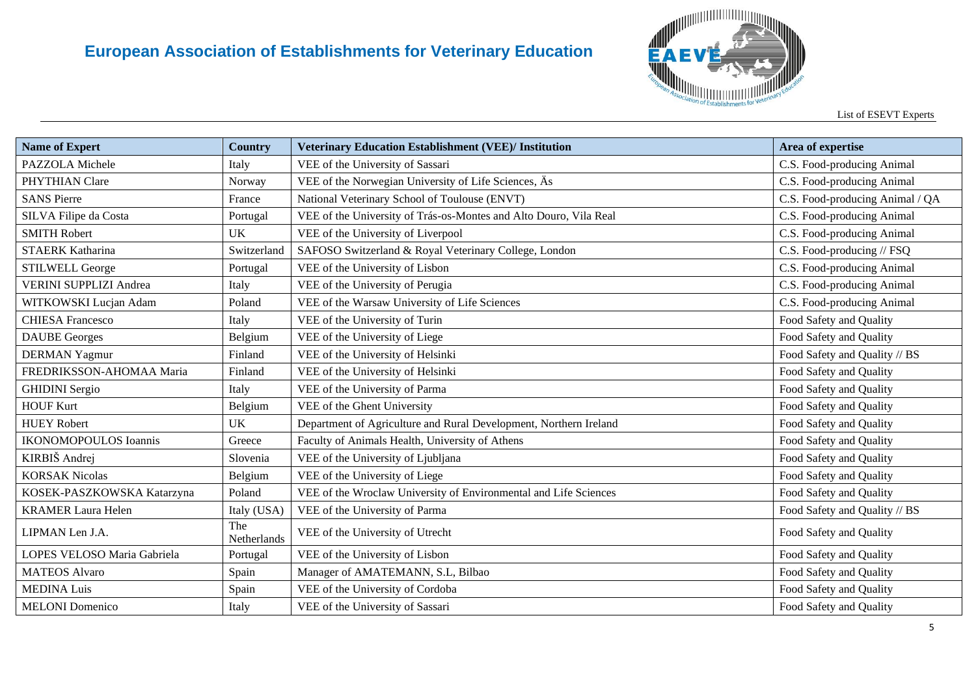

| <b>Name of Expert</b>         | <b>Country</b>     | <b>Veterinary Education Establishment (VEE)/ Institution</b>      | Area of expertise               |
|-------------------------------|--------------------|-------------------------------------------------------------------|---------------------------------|
| PAZZOLA Michele               | Italy              | VEE of the University of Sassari                                  | C.S. Food-producing Animal      |
| PHYTHIAN Clare                | Norway             | VEE of the Norwegian University of Life Sciences, As              | C.S. Food-producing Animal      |
| <b>SANS Pierre</b>            | France             | National Veterinary School of Toulouse (ENVT)                     | C.S. Food-producing Animal / QA |
| SILVA Filipe da Costa         | Portugal           | VEE of the University of Trás-os-Montes and Alto Douro, Vila Real | C.S. Food-producing Animal      |
| <b>SMITH Robert</b>           | <b>UK</b>          | VEE of the University of Liverpool                                | C.S. Food-producing Animal      |
| <b>STAERK Katharina</b>       | Switzerland        | SAFOSO Switzerland & Royal Veterinary College, London             | C.S. Food-producing // FSQ      |
| <b>STILWELL George</b>        | Portugal           | VEE of the University of Lisbon                                   | C.S. Food-producing Animal      |
| <b>VERINI SUPPLIZI Andrea</b> | Italy              | VEE of the University of Perugia                                  | C.S. Food-producing Animal      |
| WITKOWSKI Lucjan Adam         | Poland             | VEE of the Warsaw University of Life Sciences                     | C.S. Food-producing Animal      |
| <b>CHIESA Francesco</b>       | Italy              | VEE of the University of Turin                                    | Food Safety and Quality         |
| <b>DAUBE</b> Georges          | Belgium            | VEE of the University of Liege                                    | Food Safety and Quality         |
| <b>DERMAN Yagmur</b>          | Finland            | VEE of the University of Helsinki                                 | Food Safety and Quality // BS   |
| FREDRIKSSON-AHOMAA Maria      | Finland            | VEE of the University of Helsinki                                 | Food Safety and Quality         |
| <b>GHIDINI</b> Sergio         | Italy              | VEE of the University of Parma                                    | Food Safety and Quality         |
| <b>HOUF Kurt</b>              | Belgium            | VEE of the Ghent University                                       | Food Safety and Quality         |
| <b>HUEY Robert</b>            | <b>UK</b>          | Department of Agriculture and Rural Development, Northern Ireland | Food Safety and Quality         |
| <b>IKONOMOPOULOS Ioannis</b>  | Greece             | Faculty of Animals Health, University of Athens                   | Food Safety and Quality         |
| KIRBIŠ Andrej                 | Slovenia           | VEE of the University of Ljubljana                                | Food Safety and Quality         |
| <b>KORSAK Nicolas</b>         | Belgium            | VEE of the University of Liege                                    | Food Safety and Quality         |
| KOSEK-PASZKOWSKA Katarzyna    | Poland             | VEE of the Wroclaw University of Environmental and Life Sciences  | Food Safety and Quality         |
| <b>KRAMER Laura Helen</b>     | Italy (USA)        | VEE of the University of Parma                                    | Food Safety and Quality // BS   |
| LIPMAN Len J.A.               | The<br>Netherlands | VEE of the University of Utrecht                                  | Food Safety and Quality         |
| LOPES VELOSO Maria Gabriela   | Portugal           | VEE of the University of Lisbon                                   | Food Safety and Quality         |
| <b>MATEOS</b> Alvaro          | Spain              | Manager of AMATEMANN, S.L., Bilbao                                | Food Safety and Quality         |
| <b>MEDINA Luis</b>            | Spain              | VEE of the University of Cordoba                                  | Food Safety and Quality         |
| <b>MELONI</b> Domenico        | Italy              | VEE of the University of Sassari                                  | Food Safety and Quality         |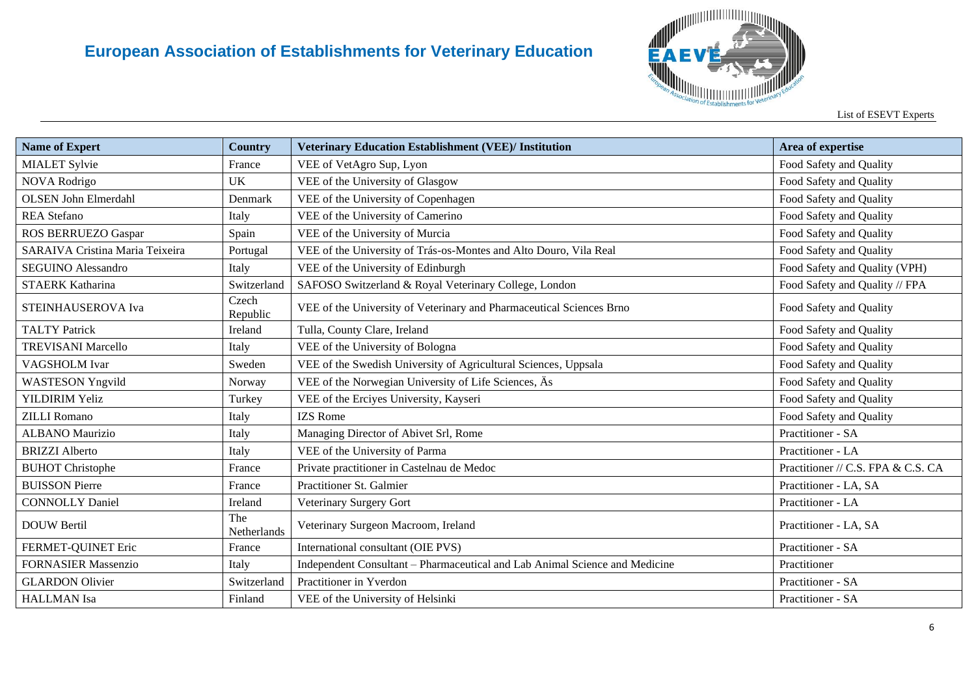

List of ESEVT Experts

| <b>Name of Expert</b>           | <b>Country</b>     | <b>Veterinary Education Establishment (VEE)/ Institution</b>                | Area of expertise                  |
|---------------------------------|--------------------|-----------------------------------------------------------------------------|------------------------------------|
| <b>MIALET Sylvie</b>            | France             | VEE of VetAgro Sup, Lyon                                                    | Food Safety and Quality            |
| NOVA Rodrigo                    | <b>UK</b>          | VEE of the University of Glasgow                                            | Food Safety and Quality            |
| <b>OLSEN John Elmerdahl</b>     | Denmark            | VEE of the University of Copenhagen                                         | Food Safety and Quality            |
| <b>REA</b> Stefano              | Italy              | VEE of the University of Camerino                                           | Food Safety and Quality            |
| ROS BERRUEZO Gaspar             | Spain              | VEE of the University of Murcia                                             | Food Safety and Quality            |
| SARAIVA Cristina Maria Teixeira | Portugal           | VEE of the University of Trás-os-Montes and Alto Douro, Vila Real           | Food Safety and Quality            |
| <b>SEGUINO Alessandro</b>       | Italy              | VEE of the University of Edinburgh                                          | Food Safety and Quality (VPH)      |
| <b>STAERK Katharina</b>         | Switzerland        | SAFOSO Switzerland & Royal Veterinary College, London                       | Food Safety and Quality // FPA     |
| STEINHAUSEROVA Iva              | Czech<br>Republic  | VEE of the University of Veterinary and Pharmaceutical Sciences Brno        | Food Safety and Quality            |
| <b>TALTY Patrick</b>            | Ireland            | Tulla, County Clare, Ireland                                                | Food Safety and Quality            |
| <b>TREVISANI Marcello</b>       | Italy              | VEE of the University of Bologna                                            | Food Safety and Quality            |
| VAGSHOLM Ivar                   | Sweden             | VEE of the Swedish University of Agricultural Sciences, Uppsala             | Food Safety and Quality            |
| <b>WASTESON Yngvild</b>         | Norway             | VEE of the Norwegian University of Life Sciences, Äs                        | Food Safety and Quality            |
| YILDIRIM Yeliz                  | Turkey             | VEE of the Erciyes University, Kayseri                                      | Food Safety and Quality            |
| <b>ZILLI</b> Romano             | Italy              | <b>IZS</b> Rome                                                             | Food Safety and Quality            |
| <b>ALBANO</b> Maurizio          | Italy              | Managing Director of Abivet Srl, Rome                                       | Practitioner - SA                  |
| <b>BRIZZI</b> Alberto           | Italy              | VEE of the University of Parma                                              | Practitioner - LA                  |
| <b>BUHOT</b> Christophe         | France             | Private practitioner in Castelnau de Medoc                                  | Practitioner // C.S. FPA & C.S. CA |
| <b>BUISSON Pierre</b>           | France             | Practitioner St. Galmier                                                    | Practitioner - LA, SA              |
| <b>CONNOLLY Daniel</b>          | Ireland            | Veterinary Surgery Gort                                                     | Practitioner - LA                  |
| <b>DOUW Bertil</b>              | The<br>Netherlands | Veterinary Surgeon Macroom, Ireland                                         | Practitioner - LA, SA              |
| FERMET-QUINET Eric              | France             | International consultant (OIE PVS)                                          | Practitioner - SA                  |
| <b>FORNASIER Massenzio</b>      | Italy              | Independent Consultant - Pharmaceutical and Lab Animal Science and Medicine | Practitioner                       |
| <b>GLARDON Olivier</b>          | Switzerland        | Practitioner in Yverdon                                                     | Practitioner - SA                  |
| <b>HALLMAN</b> Isa              | Finland            | VEE of the University of Helsinki                                           | Practitioner - SA                  |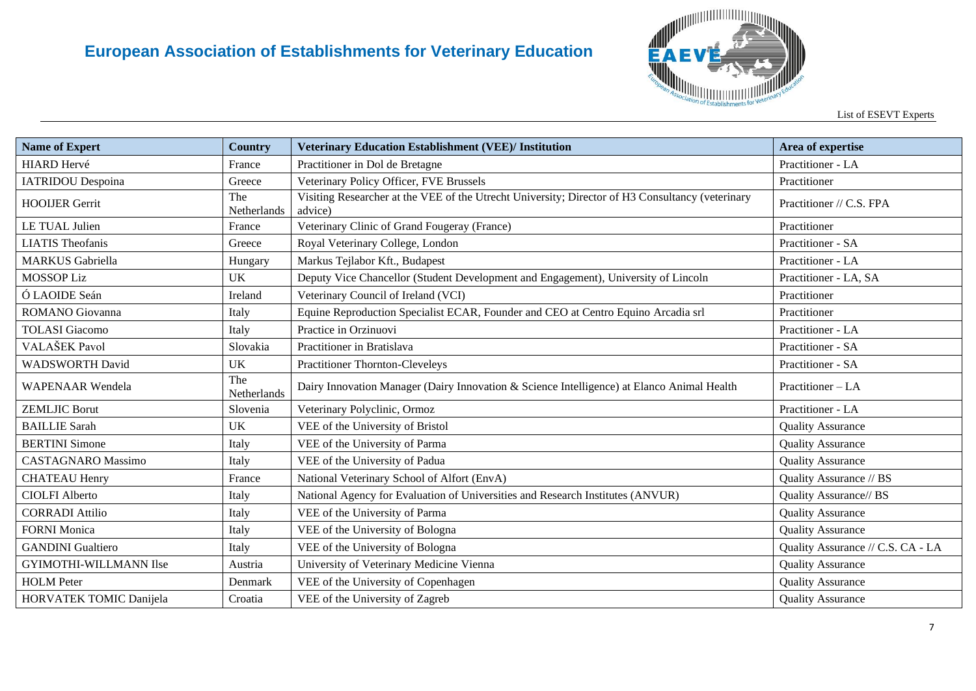

| <b>Name of Expert</b>     | <b>Country</b>     | <b>Veterinary Education Establishment (VEE)/ Institution</b>                                                | Area of expertise                 |
|---------------------------|--------------------|-------------------------------------------------------------------------------------------------------------|-----------------------------------|
| <b>HIARD Hervé</b>        | France             | Practitioner in Dol de Bretagne                                                                             | Practitioner - LA                 |
| <b>IATRIDOU</b> Despoina  | Greece             | Veterinary Policy Officer, FVE Brussels                                                                     | Practitioner                      |
| <b>HOOIJER Gerrit</b>     | The<br>Netherlands | Visiting Researcher at the VEE of the Utrecht University; Director of H3 Consultancy (veterinary<br>advice) | Practitioner // C.S. FPA          |
| LE TUAL Julien            | France             | Veterinary Clinic of Grand Fougeray (France)                                                                | Practitioner                      |
| <b>LIATIS</b> Theofanis   | Greece             | Royal Veterinary College, London                                                                            | Practitioner - SA                 |
| <b>MARKUS</b> Gabriella   | Hungary            | Markus Tejlabor Kft., Budapest                                                                              | Practitioner - LA                 |
| <b>MOSSOP Liz</b>         | UK                 | Deputy Vice Chancellor (Student Development and Engagement), University of Lincoln                          | Practitioner - LA, SA             |
| Ó LAOIDE Seán             | Ireland            | Veterinary Council of Ireland (VCI)                                                                         | Practitioner                      |
| ROMANO Giovanna           | Italy              | Equine Reproduction Specialist ECAR, Founder and CEO at Centro Equino Arcadia srl                           | Practitioner                      |
| <b>TOLASI</b> Giacomo     | Italy              | Practice in Orzinuovi                                                                                       | Practitioner - LA                 |
| VALAŠEK Pavol             | Slovakia           | Practitioner in Bratislava                                                                                  | Practitioner - SA                 |
| <b>WADSWORTH David</b>    | <b>UK</b>          | <b>Practitioner Thornton-Cleveleys</b>                                                                      | Practitioner - SA                 |
| <b>WAPENAAR</b> Wendela   | The<br>Netherlands | Dairy Innovation Manager (Dairy Innovation & Science Intelligence) at Elanco Animal Health                  | Practitioner - LA                 |
| <b>ZEMLJIC Borut</b>      | Slovenia           | Veterinary Polyclinic, Ormoz                                                                                | Practitioner - LA                 |
| <b>BAILLIE</b> Sarah      | <b>UK</b>          | VEE of the University of Bristol                                                                            | <b>Quality Assurance</b>          |
| <b>BERTINI</b> Simone     | Italy              | VEE of the University of Parma                                                                              | <b>Quality Assurance</b>          |
| <b>CASTAGNARO</b> Massimo | Italy              | VEE of the University of Padua                                                                              | <b>Quality Assurance</b>          |
| <b>CHATEAU Henry</b>      | France             | National Veterinary School of Alfort (EnvA)                                                                 | Quality Assurance // BS           |
| <b>CIOLFI Alberto</b>     | Italy              | National Agency for Evaluation of Universities and Research Institutes (ANVUR)                              | Quality Assurance// BS            |
| <b>CORRADI</b> Attilio    | Italy              | VEE of the University of Parma                                                                              | <b>Quality Assurance</b>          |
| <b>FORNI Monica</b>       | Italy              | VEE of the University of Bologna                                                                            | <b>Quality Assurance</b>          |
| <b>GANDINI</b> Gualtiero  | Italy              | VEE of the University of Bologna                                                                            | Quality Assurance // C.S. CA - LA |
| GYIMOTHI-WILLMANN Ilse    | Austria            | University of Veterinary Medicine Vienna                                                                    | <b>Quality Assurance</b>          |
| <b>HOLM</b> Peter         | Denmark            | VEE of the University of Copenhagen                                                                         | <b>Quality Assurance</b>          |
| HORVATEK TOMIC Danijela   | Croatia            | VEE of the University of Zagreb                                                                             | <b>Quality Assurance</b>          |